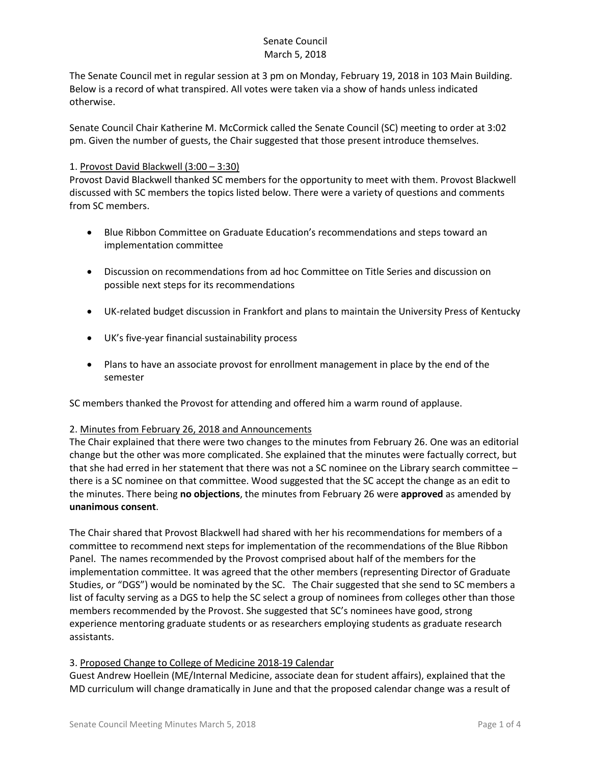The Senate Council met in regular session at 3 pm on Monday, February 19, 2018 in 103 Main Building. Below is a record of what transpired. All votes were taken via a show of hands unless indicated otherwise.

Senate Council Chair Katherine M. McCormick called the Senate Council (SC) meeting to order at 3:02 pm. Given the number of guests, the Chair suggested that those present introduce themselves.

### 1. Provost David Blackwell (3:00 – 3:30)

Provost David Blackwell thanked SC members for the opportunity to meet with them. Provost Blackwell discussed with SC members the topics listed below. There were a variety of questions and comments from SC members.

- Blue Ribbon Committee on Graduate Education's recommendations and steps toward an implementation committee
- Discussion on recommendations from ad hoc Committee on Title Series and discussion on possible next steps for its recommendations
- UK-related budget discussion in Frankfort and plans to maintain the University Press of Kentucky
- UK's five-year financial sustainability process
- Plans to have an associate provost for enrollment management in place by the end of the semester

SC members thanked the Provost for attending and offered him a warm round of applause.

#### 2. Minutes from February 26, 2018 and Announcements

The Chair explained that there were two changes to the minutes from February 26. One was an editorial change but the other was more complicated. She explained that the minutes were factually correct, but that she had erred in her statement that there was not a SC nominee on the Library search committee – there is a SC nominee on that committee. Wood suggested that the SC accept the change as an edit to the minutes. There being **no objections**, the minutes from February 26 were **approved** as amended by **unanimous consent**.

The Chair shared that Provost Blackwell had shared with her his recommendations for members of a committee to recommend next steps for implementation of the recommendations of the Blue Ribbon Panel. The names recommended by the Provost comprised about half of the members for the implementation committee. It was agreed that the other members (representing Director of Graduate Studies, or "DGS") would be nominated by the SC. The Chair suggested that she send to SC members a list of faculty serving as a DGS to help the SC select a group of nominees from colleges other than those members recommended by the Provost. She suggested that SC's nominees have good, strong experience mentoring graduate students or as researchers employing students as graduate research assistants.

### 3. Proposed Change to College of Medicine 2018-19 Calendar

Guest Andrew Hoellein (ME/Internal Medicine, associate dean for student affairs), explained that the MD curriculum will change dramatically in June and that the proposed calendar change was a result of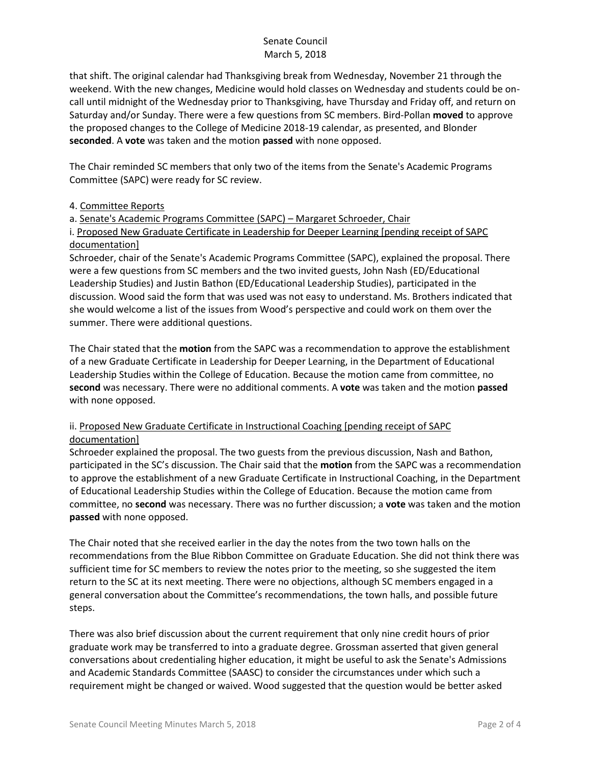that shift. The original calendar had Thanksgiving break from Wednesday, November 21 through the weekend. With the new changes, Medicine would hold classes on Wednesday and students could be oncall until midnight of the Wednesday prior to Thanksgiving, have Thursday and Friday off, and return on Saturday and/or Sunday. There were a few questions from SC members. Bird-Pollan **moved** to approve the proposed changes to the College of Medicine 2018-19 calendar, as presented, and Blonder **seconded**. A **vote** was taken and the motion **passed** with none opposed.

The Chair reminded SC members that only two of the items from the Senate's Academic Programs Committee (SAPC) were ready for SC review.

### 4. Committee Reports

a. Senate's Academic Programs Committee (SAPC) – Margaret Schroeder, Chair

i. Proposed New Graduate Certificate in Leadership for Deeper Learning [pending receipt of SAPC documentation]

Schroeder, chair of the Senate's Academic Programs Committee (SAPC), explained the proposal. There were a few questions from SC members and the two invited guests, John Nash (ED/Educational Leadership Studies) and Justin Bathon (ED/Educational Leadership Studies), participated in the discussion. Wood said the form that was used was not easy to understand. Ms. Brothers indicated that she would welcome a list of the issues from Wood's perspective and could work on them over the summer. There were additional questions.

The Chair stated that the **motion** from the SAPC was a recommendation to approve the establishment of a new Graduate Certificate in Leadership for Deeper Learning, in the Department of Educational Leadership Studies within the College of Education. Because the motion came from committee, no **second** was necessary. There were no additional comments. A **vote** was taken and the motion **passed** with none opposed.

# ii. Proposed New Graduate Certificate in Instructional Coaching [pending receipt of SAPC documentation]

Schroeder explained the proposal. The two guests from the previous discussion, Nash and Bathon, participated in the SC's discussion. The Chair said that the **motion** from the SAPC was a recommendation to approve the establishment of a new Graduate Certificate in Instructional Coaching, in the Department of Educational Leadership Studies within the College of Education. Because the motion came from committee, no **second** was necessary. There was no further discussion; a **vote** was taken and the motion **passed** with none opposed.

The Chair noted that she received earlier in the day the notes from the two town halls on the recommendations from the Blue Ribbon Committee on Graduate Education. She did not think there was sufficient time for SC members to review the notes prior to the meeting, so she suggested the item return to the SC at its next meeting. There were no objections, although SC members engaged in a general conversation about the Committee's recommendations, the town halls, and possible future steps.

There was also brief discussion about the current requirement that only nine credit hours of prior graduate work may be transferred to into a graduate degree. Grossman asserted that given general conversations about credentialing higher education, it might be useful to ask the Senate's Admissions and Academic Standards Committee (SAASC) to consider the circumstances under which such a requirement might be changed or waived. Wood suggested that the question would be better asked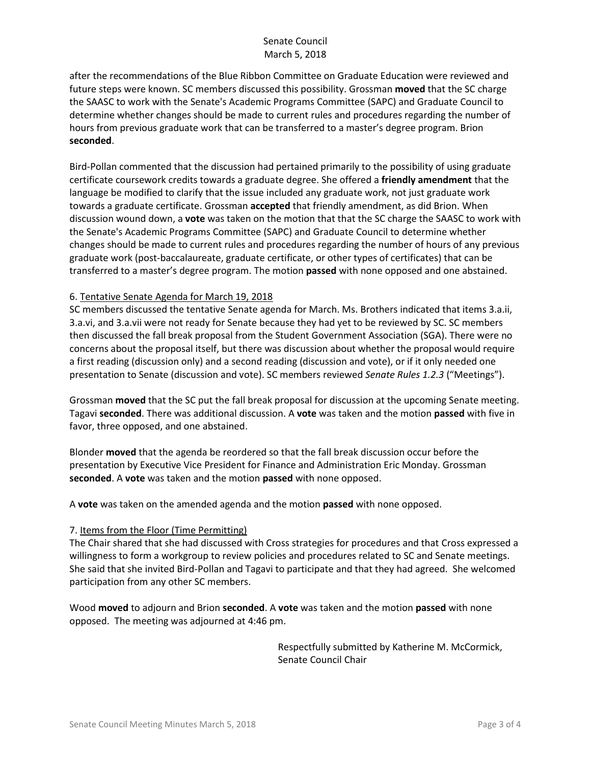after the recommendations of the Blue Ribbon Committee on Graduate Education were reviewed and future steps were known. SC members discussed this possibility. Grossman **moved** that the SC charge the SAASC to work with the Senate's Academic Programs Committee (SAPC) and Graduate Council to determine whether changes should be made to current rules and procedures regarding the number of hours from previous graduate work that can be transferred to a master's degree program. Brion **seconded**.

Bird-Pollan commented that the discussion had pertained primarily to the possibility of using graduate certificate coursework credits towards a graduate degree. She offered a **friendly amendment** that the language be modified to clarify that the issue included any graduate work, not just graduate work towards a graduate certificate. Grossman **accepted** that friendly amendment, as did Brion. When discussion wound down, a **vote** was taken on the motion that that the SC charge the SAASC to work with the Senate's Academic Programs Committee (SAPC) and Graduate Council to determine whether changes should be made to current rules and procedures regarding the number of hours of any previous graduate work (post-baccalaureate, graduate certificate, or other types of certificates) that can be transferred to a master's degree program. The motion **passed** with none opposed and one abstained.

### 6. Tentative Senate Agenda for March 19, 2018

SC members discussed the tentative Senate agenda for March. Ms. Brothers indicated that items 3.a.ii, 3.a.vi, and 3.a.vii were not ready for Senate because they had yet to be reviewed by SC. SC members then discussed the fall break proposal from the Student Government Association (SGA). There were no concerns about the proposal itself, but there was discussion about whether the proposal would require a first reading (discussion only) and a second reading (discussion and vote), or if it only needed one presentation to Senate (discussion and vote). SC members reviewed *Senate Rules 1.2.3* ("Meetings").

Grossman **moved** that the SC put the fall break proposal for discussion at the upcoming Senate meeting. Tagavi **seconded**. There was additional discussion. A **vote** was taken and the motion **passed** with five in favor, three opposed, and one abstained.

Blonder **moved** that the agenda be reordered so that the fall break discussion occur before the presentation by Executive Vice President for Finance and Administration Eric Monday. Grossman **seconded**. A **vote** was taken and the motion **passed** with none opposed.

A **vote** was taken on the amended agenda and the motion **passed** with none opposed.

#### 7. Items from the Floor (Time Permitting)

The Chair shared that she had discussed with Cross strategies for procedures and that Cross expressed a willingness to form a workgroup to review policies and procedures related to SC and Senate meetings. She said that she invited Bird-Pollan and Tagavi to participate and that they had agreed. She welcomed participation from any other SC members.

Wood **moved** to adjourn and Brion **seconded**. A **vote** was taken and the motion **passed** with none opposed. The meeting was adjourned at 4:46 pm.

> Respectfully submitted by Katherine M. McCormick, Senate Council Chair